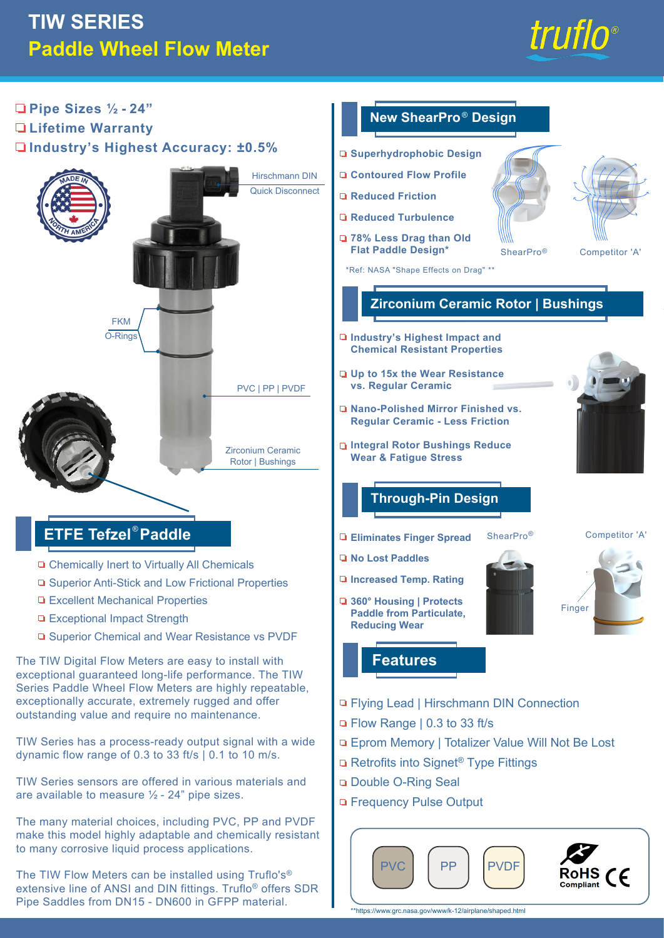# **TIW SERIES Paddle Wheel Flow Meter**





extensive line of ANSI and DIN fittings. Truflo® offers SDR Pipe Saddles from DN15 - DN600 in GFPP material.